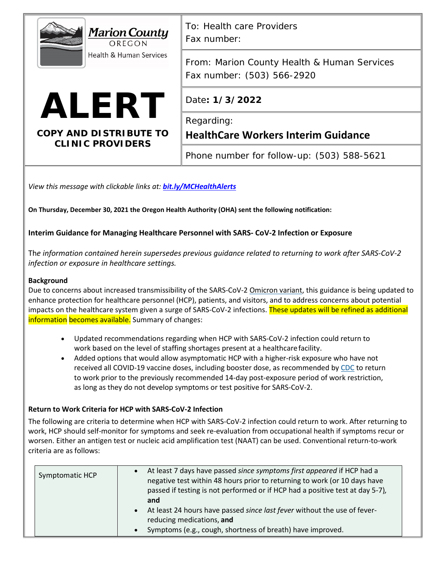| <b>Marion County</b><br>OREGON<br><b>Health &amp; Human Services</b> | To: Health care Providers<br>Fax number:                                  |
|----------------------------------------------------------------------|---------------------------------------------------------------------------|
|                                                                      | From: Marion County Health & Human Services<br>Fax number: (503) 566-2920 |
| <b>ALERT</b>                                                         | Date: 1/3/2022                                                            |
| <b>COPY AND DISTRIBUTE TO</b>                                        | Regarding:<br><b>HealthCare Workers Interim Guidance</b>                  |
| <b>CLINIC PROVIDERS</b>                                              | Phone number for follow-up: (503) 588-5621                                |

*View this message with clickable links at: [bit.ly/MCHealthAlerts](https://www.co.marion.or.us/HLT/PH/Epid/Pages/Alerts.aspx)*

**On Thursday, December 30, 2021 the Oregon Health Authority (OHA) sent the following notification:** 

## **Interim Guidance for Managing Healthcare Personnel with SARS- CoV-2 Infection or Exposure**

Th*e information contained herein supersedes previous guidance related to returning to work after SARS-CoV-2 infection or exposure in healthcare settings.*

### **Background**

Due to concerns about increased transmissibility of the SARS-CoV-[2 Omicron variant,](https://www.cdc.gov/coronavirus/2019-ncov/variants/omicron-variant.html) this guidance is being updated to enhance protection for healthcare personnel (HCP), patients, and visitors, and to address concerns about potential impacts on the healthcare system given a surge of SARS-CoV-2 infections. These updates will be refined as additional information becomes available. Summary of changes:

- Updated recommendations regarding when HCP with SARS-CoV-2 infection could return to work based on the level of staffing shortages present at a healthcarefacility.
- Added options that would allow asymptomatic HCP with a higher-risk exposure who have not received all COVID-19 vaccine doses, including booster dose, as recommended by [CDC](https://www.cdc.gov/vaccines/covid-19/clinical-considerations/covid-19-vaccines-us.html) to return to work prior to the previously recommended 14-day post-exposure period of work restriction, as long as they do not develop symptoms or test positive for SARS-CoV-2.

### **Return to Work Criteria for HCP with SARS-CoV-2 Infection**

The following are criteria to determine when HCP with SARS-CoV-2 infection could return to work. After returning to work, HCP should self-monitor for symptoms and seek re-evaluation from occupational health if symptoms recur or worsen. Either an antigen test or nucleic acid amplification test (NAAT) can be used. Conventional return-to-work criteria are as follows:

| Symptomatic HCP | $\bullet$ | At least 7 days have passed since symptoms first appeared if HCP had a<br>negative test within 48 hours prior to returning to work (or 10 days have<br>passed if testing is not performed or if HCP had a positive test at day 5-7),<br>and<br>• At least 24 hours have passed since last fever without the use of fever-<br>reducing medications, and |
|-----------------|-----------|--------------------------------------------------------------------------------------------------------------------------------------------------------------------------------------------------------------------------------------------------------------------------------------------------------------------------------------------------------|
|                 | $\bullet$ | Symptoms (e.g., cough, shortness of breath) have improved.                                                                                                                                                                                                                                                                                             |
|                 |           |                                                                                                                                                                                                                                                                                                                                                        |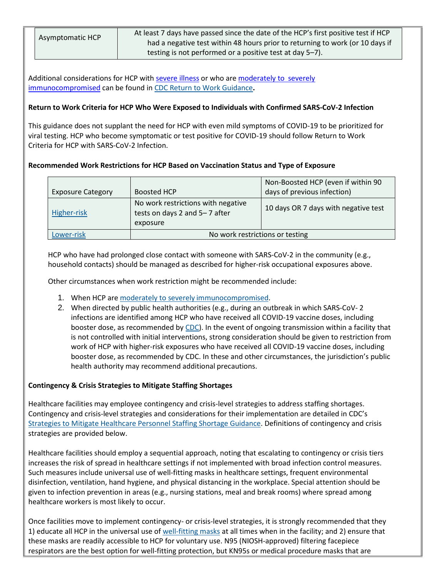|  |  | Asymptomatic HCP |
|--|--|------------------|
|  |  |                  |

At least 7 days have passed since the date of the HCP's first positive test if HCP had a negative test within 48 hours prior to returning to work (or 10 days if testing is not performed or a positive test at day 5–7).

Additional considerations for HCP with [severe illness](https://www.cdc.gov/coronavirus/2019-ncov/hcp/guidance-risk-assesment-hcp.html#MildIllness) or who are [moderately to severely](https://www.cdc.gov/coronavirus/2019-ncov/hcp/guidance-risk-assesment-hcp.html#Immunocompromised) [immunocompromised](https://www.cdc.gov/coronavirus/2019-ncov/hcp/guidance-risk-assesment-hcp.html#Immunocompromised) can be found in [CDC Return to Work Guidance](https://www.cdc.gov/coronavirus/2019-ncov/hcp/guidance-risk-assesment-hcp.html)**.**

## **Return to Work Criteria for HCP Who Were Exposed to Individuals with Confirmed SARS-CoV-2 Infection**

This guidance does not supplant the need for HCP with even mild symptoms of COVID-19 to be prioritized for viral testing. HCP who become symptomatic or test positive for COVID-19 should follow Return to Work Criteria for HCP with SARS-CoV-2 Infection.

## **Recommended Work Restrictions for HCP Based on Vaccination Status and Type of Exposure**

|                          |                                                                                 | Non-Boosted HCP (even if within 90   |  |
|--------------------------|---------------------------------------------------------------------------------|--------------------------------------|--|
| <b>Exposure Category</b> | Boosted HCP                                                                     | days of previous infection)          |  |
| Higher-risk              | No work restrictions with negative<br>tests on days 2 and 5-7 after<br>exposure | 10 days OR 7 days with negative test |  |
| Lower-risk               | No work restrictions or testing                                                 |                                      |  |

HCP who have had prolonged close contact with someone with SARS-CoV-2 in the community (e.g., household contacts) should be managed as described for higher-risk occupational exposures above.

Other circumstances when work restriction might be recommended include:

- 1. When HCP are [moderately to severely](https://www.cdc.gov/coronavirus/2019-ncov/hcp/guidance-risk-assesment-hcp.html#Immunocompromised) immunocompromised.
- 2. When directed by public health authorities (e.g., during an outbreak in which SARS-CoV- 2 infections are identified among HCP who have received all COVID-19 vaccine doses, including booster dose, as recommended by [CDC\)](https://www.cdc.gov/vaccines/covid-19/clinical-considerations/covid-19-vaccines-us.html). In the event of ongoing transmission within a facility that is not controlled with initial interventions, strong consideration should be given to restriction from work of HCP with higher-risk exposures who have received all COVID-19 vaccine doses, including booster dose, as recommended by CDC. In these and other circumstances, the jurisdiction's public health authority may recommend additional precautions.

# **Contingency & Crisis Strategies to Mitigate Staffing Shortages**

Healthcare facilities may employee contingency and crisis-level strategies to address staffing shortages. Contingency and crisis-level strategies and considerations for their implementation are detailed in CDC's [Strategies to Mitigate Healthcare Personnel Staffing Shortage Guidance.](https://www.cdc.gov/coronavirus/2019-ncov/hcp/mitigating-staff-shortages.html) Definitions of contingency and crisis strategies are provided below.

Healthcare facilities should employ a sequential approach, noting that escalating to contingency or crisis tiers increases the risk of spread in healthcare settings if not implemented with broad infection control measures. Such measures include universal use of well-fitting masks in healthcare settings, frequent environmental disinfection, ventilation, hand hygiene, and physical distancing in the workplace. Special attention should be given to infection prevention in areas (e.g., nursing stations, meal and break rooms) where spread among healthcare workers is most likely to occur.

Once facilities move to implement contingency- or crisis-level strategies, it is strongly recommended that they 1) educate all HCP in the universal use o[f well-fitting masks](https://www.cdc.gov/coronavirus/2019-ncov/prevent-getting-sick/mask-fit-and-filtration.html) at all times when in the facility; and 2) ensure that these masks are readily accessible to HCP for voluntary use. N95 (NIOSH-approved) filtering facepiece respirators are the best option for well-fitting protection, but KN95s or medical procedure masks that are